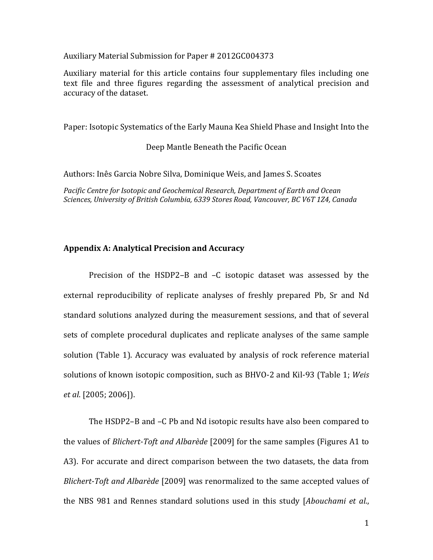## Auxiliary Material Submission for Paper # 2012GC004373

Auxiliary material for this article contains four supplementary files including one text file and three figures regarding the assessment of analytical precision and accuracy of the dataset.

Paper: Isotopic Systematics of the Early Mauna Kea Shield Phase and Insight Into the

Deep Mantle Beneath the Pacific Ocean

Authors: Inês Garcia Nobre Silva, Dominique Weis, and James S. Scoates

*Pacific Centre for Isotopic and Geochemical Research, Department of Earth and Ocean Sciences, University of British Columbia, 6339 Stores Road, Vancouver, BC V6T 1Z4, Canada*

## **Appendix A: Analytical Precision and Accuracy**

Precision of the HSDP2–B and –C isotopic dataset was assessed by the external reproducibility of replicate analyses of freshly prepared Pb, Sr and Nd standard solutions analyzed during the measurement sessions, and that of several sets of complete procedural duplicates and replicate analyses of the same sample solution (Table 1). Accuracy was evaluated by analysis of rock reference material solutions of known isotopic composition, such as BHVO-2 and Kil-93 (Table 1; *Weis et al*. [2005; 2006]).

The HSDP2–B and –C Pb and Nd isotopic results have also been compared to the values of *Blichert-Toft and Albarède* [2009] for the same samples (Figures A1 to A3). For accurate and direct comparison between the two datasets, the data from *Blichert-Toft and Albarède* [2009] was renormalized to the same accepted values of the NBS 981 and Rennes standard solutions used in this study [*Abouchami et al*.,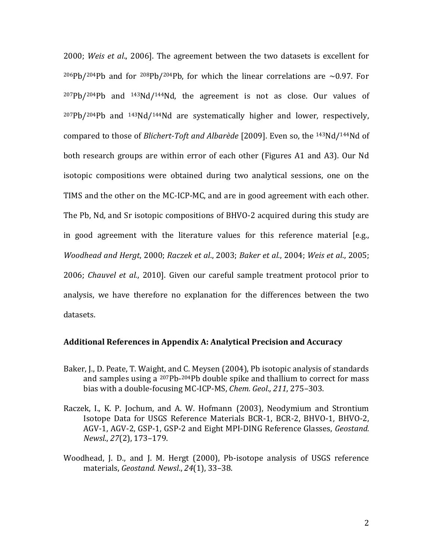2000; *Weis et al*., 2006]. The agreement between the two datasets is excellent for <sup>206</sup>Pb/<sup>204</sup>Pb and for <sup>208</sup>Pb/<sup>204</sup>Pb, for which the linear correlations are ~0.97. For  $207Pb/204Pb$  and  $143Nd/144Nd$ , the agreement is not as close. Our values of <sup>207</sup>Pb/204Pb and 143Nd/144Nd are systematically higher and lower, respectively, compared to those of *Blichert-Toft and Albarède* [2009]. Even so, the 143Nd/144Nd of both research groups are within error of each other (Figures A1 and A3). Our Nd isotopic compositions were obtained during two analytical sessions, one on the TIMS and the other on the MC-ICP-MC, and are in good agreement with each other. The Pb, Nd, and Sr isotopic compositions of BHVO-2 acquired during this study are in good agreement with the literature values for this reference material [e.g., *Woodhead and Hergt*, 2000; *Raczek et al*., 2003; *Baker et al.*, 2004; *Weis et al*., 2005; 2006; *Chauvel et al.*, 2010]. Given our careful sample treatment protocol prior to analysis, we have therefore no explanation for the differences between the two datasets.

## **Additional References in Appendix A: Analytical Precision and Accuracy**

- Baker, J., D. Peate, T. Waight, and C. Meysen (2004), Pb isotopic analysis of standards and samples using a <sup>207</sup>Pb-<sup>204</sup>Pb double spike and thallium to correct for mass bias with a double-focusing MC-ICP-MS, *Chem. Geol*.*, 211*, 275–303.
- Raczek, I., K. P. Jochum, and A. W. Hofmann (2003), Neodymium and Strontium Isotope Data for USGS Reference Materials BCR-1, BCR-2, BHVO-1, BHVO-2, AGV-1, AGV-2, GSP-1, GSP-2 and Eight MPI-DING Reference Glasses, *Geostand. Newsl*., *27*(2), 173–179.
- Woodhead, J. D., and J. M. Hergt (2000), Pb-isotope analysis of USGS reference materials, *Geostand. Newsl*., *24*(1), 33–38.